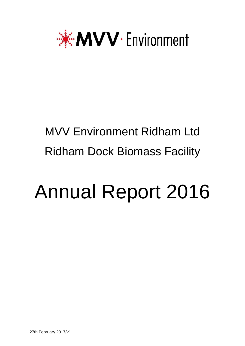

# MVV Environment Ridham Ltd Ridham Dock Biomass Facility

# Annual Report 2016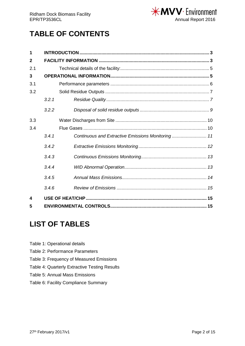

## **TABLE OF CONTENTS**

| 1              |       |                                                    |  |  |  |  |  |  |
|----------------|-------|----------------------------------------------------|--|--|--|--|--|--|
| $\mathbf{2}$   |       |                                                    |  |  |  |  |  |  |
| 2.1            |       |                                                    |  |  |  |  |  |  |
| $\overline{3}$ |       |                                                    |  |  |  |  |  |  |
| 3.1            |       |                                                    |  |  |  |  |  |  |
| 3.2            |       |                                                    |  |  |  |  |  |  |
|                | 3.2.1 |                                                    |  |  |  |  |  |  |
|                | 3.2.2 |                                                    |  |  |  |  |  |  |
| 3.3            |       |                                                    |  |  |  |  |  |  |
| 3.4            |       |                                                    |  |  |  |  |  |  |
|                | 3.4.1 | Continuous and Extractive Emissions Monitoring  11 |  |  |  |  |  |  |
|                | 3.4.2 |                                                    |  |  |  |  |  |  |
|                | 3.4.3 |                                                    |  |  |  |  |  |  |
|                | .344  |                                                    |  |  |  |  |  |  |
|                | 3.4.5 |                                                    |  |  |  |  |  |  |
|                | 3.4.6 |                                                    |  |  |  |  |  |  |
| 4              |       |                                                    |  |  |  |  |  |  |
| 5              |       |                                                    |  |  |  |  |  |  |

### **LIST OF TABLES**

- Table 1: Operational details
- Table 2: Performance Parameters
- Table 3: Frequency of Measured Emissions
- Table 4: Quarterly Extractive Testing Results
- Table 5: Annual Mass Emissions
- Table 6: Facility Compliance Summary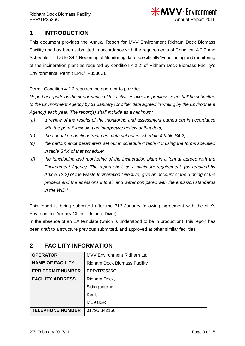

#### <span id="page-2-0"></span>**1 INTRODUCTION**

This document provides the Annual Report for MVV Environment Ridham Dock Biomass Facility and has been submitted in accordance with the requirements of Condition 4.2.2 and Schedule 4 – Table S4.1 Reporting of Monitoring data, specifically 'Functioning and monitoring of the incineration plant as required by condition 4.2.2' of Ridham Dock Biomass Facility's Environmental Permit EPR/TP3536CL.

Permit Condition 4.2.2 requires the operator to provide;

*Report or reports on the performance of the activities over the previous year shall be submitted to the Environment Agency by 31 January (or other date agreed in writing by the Environment Agency) each year. The report(s) shall include as a minimum:*

- *(a) a review of the results of the monitoring and assessment carried out in accordance with the permit including an interpretive review of that data;*
- *(b) the annual production/ treatment data set out in schedule 4 table S4.2;*
- *(c) the performance parameters set out in schedule 4 table 4.3 using the forms specified in table S4.4 of that schedule;*
- *(d) the functioning and monitoring of the incineration plant in a format agreed with the Environment Agency. The report shall, as a minimum requirement, (as required by Article 12(2) of the Waste Incineration Directive) give an account of the running of the process and the emissions into air and water compared with the emission standards in the WID.'*

This report is being submitted after the  $31<sup>st</sup>$  January following agreement with the site's Environment Agency Officer (Jolanta Diver).

In the absence of an EA template (which is understood to be in production), this report has been draft to a structure previous submitted, and approved at other similar facilities.

| <b>OPERATOR</b>          | <b>MVV Environment Ridham Ltd</b>   |
|--------------------------|-------------------------------------|
| <b>NAME OF FACILITY</b>  | <b>Ridham Dock Biomass Facility</b> |
| <b>EPR PERMIT NUMBER</b> | EPR/TP3536CL                        |
| <b>FACILITY ADDRESS</b>  | Ridham Dock,                        |
|                          | Sittingbourne,                      |
|                          | Kent,                               |
|                          | ME98SR                              |
| <b>TELEPHONE NUMBER</b>  | 01795 342150                        |

#### <span id="page-2-1"></span>**2 FACILITY INFORMATION**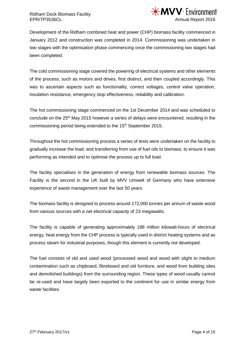

Development of the Ridham combined heat and power (CHP) biomass facility commenced in January 2012 and construction was completed in 2014. Commissioning was undertaken in two stages with the optimisation phase commencing once the commissioning two stages had been completed.

The cold commissioning stage covered the powering of electrical systems and other elements of the process, such as motors and drives, first distinct, and then coupled accordingly. This was to ascertain aspects such as functionality, correct voltages, control valve operation, insulation resistance, emergency stop effectiveness, reliability and calibration.

The hot commissioning stage commenced on the 1st December 2014 and was scheduled to conclude on the 25<sup>th</sup> May 2015 however a series of delays were encountered, resulting in the commissioning period being extended to the 15<sup>th</sup> September 2015.

Throughout the hot commissioning process a series of tests were undertaken on the facility to gradually increase the load, and transferring from use of fuel oils to biomass, to ensure it was performing as intended and to optimise the process up to full load.

The facility specialises in the generation of energy from renewable biomass sources. The Facility is the second in the UK built by MVV Umwelt of Germany who have extensive experience of waste management over the last 50 years.

The biomass facility is designed to process around 172,000 tonnes per annum of waste wood from various sources with a net electrical capacity of 23 megawatts.

The facility is capable of generating approximately 188 million kilowatt-hours of electrical energy, heat energy from the CHP process is typically used in district heating systems and as process steam for industrial purposes, though this element is currently not developed.

The fuel consists of old and used wood (processed wood and wood with slight to medium contamination such as chipboard, fibreboard and old furniture, and wood from building sites and demolished buildings) from the surrounding region. These types of wood usually cannot be re-used and have largely been exported to the continent for use in similar energy from waste facilities.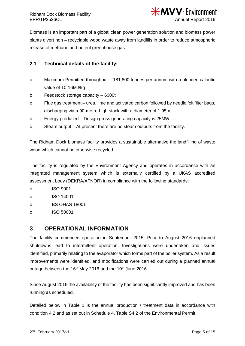

Biomass is an important part of a global clean power generation solution and biomass power plants divert non – recyclable wood waste away from landfills in order to reduce atmospheric release of methane and potent greenhouse gas.

#### <span id="page-4-0"></span>**2.1 Technical details of the facility:**

- o Maximum Permitted throughput 181,800 tonnes per annum with a blended calorific value of 10-16MJ/kg
- o Feedstock storage capacity 6000t
- o Flue gas treatment urea, lime and activated carbon followed by needle felt filter bags, discharging via a 90-metre-high stack with a diameter of 1.95m
- o Energy produced Design gross generating capacity is 25MW
- o Steam output At present there are no steam outputs from the facility.

The Ridham Dock biomass facility provides a sustainable alternative the landfilling of waste wood which cannot be otherwise recycled.

The facility is regulated by the Environment Agency and operates in accordance with an integrated management system which is externally certified by a UKAS accredited assessment body (DEKRA/AFNOR) in compliance with the following standards:

o ISO 9001

- o ISO 14001,
- o BS OHAS 18001
- o ISO 50001

#### <span id="page-4-1"></span>**3 OPERATIONAL INFORMATION**

The facility commenced operation in September 2015. Prior to August 2016 unplanned shutdowns lead to intermittent operation. Investigations were undertaken and issues identified, primarily relating to the evaporator which forms part of the boiler system. As a result improvements were identified, and modifications were carried out during a planned annual outage between the 16<sup>th</sup> May 2016 and the 10<sup>th</sup> June 2016.

Since August 2016 the availability of the facility has been significantly improved and has been running as scheduled.

Detailed below in Table 1 is the annual production / treatment data in accordance with condition 4.2 and as set out in Schedule 4, Table S4.2 of the Environmental Permit.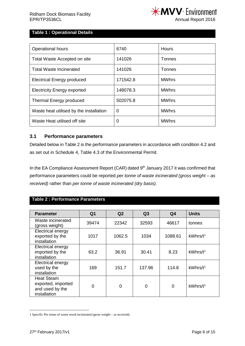

#### **Table 1 : Operational Details**

| <b>Operational hours</b>                | 6740     | Hours         |
|-----------------------------------------|----------|---------------|
| Total Waste Accepted on site            | 141026   | Tonnes        |
| Total Waste Incinerated                 | 141026   | <b>Tonnes</b> |
| <b>Electrical Energy produced</b>       | 171542.8 | <b>MWhrs</b>  |
| <b>Electricity Energy exported</b>      | 148078.3 | <b>MWhrs</b>  |
| Thermal Energy produced                 | 502075.8 | <b>MWhrs</b>  |
| Waste heat utilised by the installation | 0        | <b>MWhrs</b>  |
| Waste Heat utilised off site            | 0        | <b>MWhrs</b>  |

#### <span id="page-5-0"></span>**3.1 Performance parameters**

Detailed below in Table 2 is the performance parameters in accordance with condition 4.2 and as set out in Schedule 4, Table 4.3 of the Environmental Permit.

In the EA Compliance Assessment Report (CAR) dated 9<sup>th</sup> January 2017 it was confirmed that performance parameters could be reported *per tonne of waste incinerated (gross weight – as received)* rather than *per tonne of waste incinerated (dry basis)*.

#### **Table 2 : Performance Parameters**

| <b>Parameter</b>                                                           | Q <sub>1</sub> | Q <sub>2</sub> | Q3     | Q <sub>4</sub> | <b>Units</b>         |
|----------------------------------------------------------------------------|----------------|----------------|--------|----------------|----------------------|
| Waste incinerated<br>(gross weight)                                        | 39474          | 22342          | 32593  | 46617          | tonnes               |
| Electrical energy<br>exported by the<br>installation                       | 1017           | 1062.5         | 1034   | 1088.61        | kWhrs/t <sup>1</sup> |
| Electrical energy<br>imported by the<br>installation                       | 63.2           | 36.91          | 30.41  | 8.23           | kWhrs/t <sup>1</sup> |
| Electrical energy<br>used by the<br>installation                           | 169            | 151.7          | 137.96 | 114.8          | kWhrs/t <sup>1</sup> |
| <b>Heat Steam</b><br>exported, imported<br>and used by the<br>installation | $\Omega$       | 0              | 0      | $\overline{0}$ | kWhrs/t <sup>1</sup> |

<span id="page-5-1"></span> <sup>1</sup> Specific Per tonne of waste wood incinerated (gross weight – as received).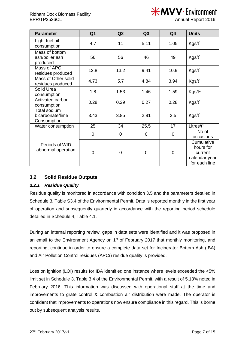

Annual Report 2016

| <b>Parameter</b>                                   | Q <sub>1</sub> | Q2          | Q <sub>3</sub> | Q4          | <b>Units</b>                                                         |
|----------------------------------------------------|----------------|-------------|----------------|-------------|----------------------------------------------------------------------|
| Light fuel oil<br>consumption                      | 4.7            | 11          | 5.11           | 1.05        | Kgs/t <sup>1</sup>                                                   |
| Mass of bottom<br>ash/boiler ash<br>56<br>produced |                | 56          | 46             | 49          | Kgs/t <sup>1</sup>                                                   |
| Mass of APC<br>residues produced                   | 12.8           | 13.2        | 9.41           | 10.9        | Kgs/t <sup>1</sup>                                                   |
| Mass of Other solid<br>residues produced           | 4.73           | 5.7         | 4.84           | 3.94        | Kgs/t <sup>1</sup>                                                   |
| Solid Urea<br>consumption                          | 1.8            | 1.53        | 1.46           | 1.59        | Kgs/t <sup>1</sup>                                                   |
| Activated carbon<br>consumption                    | 0.28           | 0.29        | 0.27           | 0.28        | Kgs/t <sup>1</sup>                                                   |
| Total sodium<br>bicarbonate/lime<br>Consumption    | 3.43           | 3.85        | 2.81           | 2.5         | $K$ gs/t <sup>1</sup>                                                |
| Water consumption                                  | 25             | 34          | 25.5           | 17          | Litres/ $t^1$                                                        |
|                                                    | 0              | $\mathbf 0$ | 0              | $\mathbf 0$ | No of<br>occasions                                                   |
| Periods of WID<br>abnormal operation               | 0              | 0           | $\mathbf 0$    | $\mathbf 0$ | Cumulative<br>hours for<br>current<br>calendar year<br>for each line |

#### <span id="page-6-0"></span>**3.2 Solid Residue Outputs**

#### <span id="page-6-1"></span>*3.2.1 Residue Quality*

Residue quality is monitored in accordance with condition 3.5 and the parameters detailed in Schedule 3, Table S3.4 of the Environmental Permit. Data is reported monthly in the first year of operation and subsequently quarterly in accordance with the reporting period schedule detailed in Schedule 4, Table 4.1.

During an internal reporting review, gaps in data sets were identified and it was proposed in an email to the Environment Agency on 1<sup>st</sup> of February 2017 that monthly monitoring, and reporting, continue in order to ensure a complete data set for Incinerator Bottom Ash (IBA) and Air Pollution Control residues (APCr) residue quality is provided.

Loss on ignition (LOI) results for IBA identified one instance where levels exceeded the <5% limit set in Schedule 3, Table 3.4 of the Environmental Permit, with a result of 5.18% noted in February 2016. This information was discussed with operational staff at the time and improvements to grate control & combustion air distribution were made. The operator is confident that improvements to operations now ensure compliance in this regard. This is borne out by subsequent analysis results.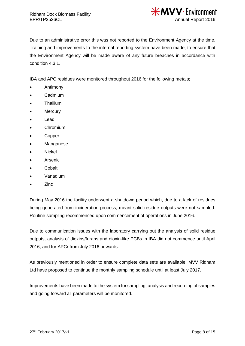

Due to an administrative error this was not reported to the Environment Agency at the time. Training and improvements to the internal reporting system have been made, to ensure that the Environment Agency will be made aware of any future breaches in accordance with condition 4.3.1.

IBA and APC residues were monitored throughout 2016 for the following metals;

- Antimony
- Cadmium
- Thallium
- **Mercury**
- Lead
- Chromium
- Copper
- **Manganese**
- Nickel
- Arsenic
- Cobalt
- Vanadium
- Zinc

During May 2016 the facility underwent a shutdown period which, due to a lack of residues being generated from incineration process, meant solid residue outputs were not sampled. Routine sampling recommenced upon commencement of operations in June 2016.

Due to communication issues with the laboratory carrying out the analysis of solid residue outputs, analysis of dioxins/furans and dioxin-like PCBs in IBA did not commence until April 2016, and for APCr from July 2016 onwards.

As previously mentioned in order to ensure complete data sets are available, MVV Ridham Ltd have proposed to continue the monthly sampling schedule until at least July 2017.

Improvements have been made to the system for sampling, analysis and recording of samples and going forward all parameters will be monitored.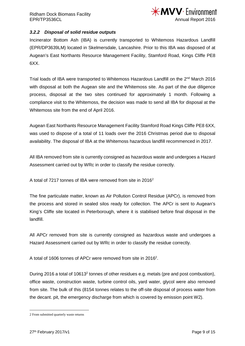

#### <span id="page-8-0"></span>*3.2.2 Disposal of solid residue outputs*

Incinerator Bottom Ash (IBA) is currently transported to Whitemoss Hazardous Landfill (EPR/DP3639LM) located in Skelmersdale, Lancashire. Prior to this IBA was disposed of at Augean's East Northants Resource Management Facility, Stamford Road, Kings Cliffe PE8 6XX.

Trial loads of IBA were transported to Whitemoss Hazardous Landfill on the 2<sup>nd</sup> March 2016 with disposal at both the Augean site and the Whitemoss site. As part of the due diligence process, disposal at the two sites continued for approximately 1 month. Following a compliance visit to the Whitemoss, the decision was made to send all IBA for disposal at the Whitemoss site from the end of April 2016.

Augean East Northants Resource Management Facility Stamford Road Kings Cliffe PE8 6XX, was used to dispose of a total of 11 loads over the 2016 Christmas period due to disposal availability. The disposal of IBA at the Whitemoss hazardous landfill recommenced in 2017.

All IBA removed from site is currently consigned as hazardous waste and undergoes a Hazard Assessment carried out by WRc in order to classify the residue correctly.

A total of 7217 tonnes of IBA were removed from site in 2016[2](#page-8-1)

The fine particulate matter, known as Air Pollution Control Residue (APCr), is removed from the process and stored in sealed silos ready for collection. The APCr is sent to Augean's King's Cliffe site located in Peterborough, where it is stabilised before final disposal in the landfill.

All APCr removed from site is currently consigned as hazardous waste and undergoes a Hazard Assessment carried out by WRc in order to classify the residue correctly.

A total of 1606 tonnes of APCr were removed from site in 2016<sup>2</sup>.

During 2016 a total of 10613<sup>2</sup> tonnes of other residues e.g. metals (pre and post combustion), office waste, construction waste, turbine control oils, yard water, glycol were also removed from site. The bulk of this (8154 tonnes relates to the off-site disposal of process water from the decant. pit, the emergency discharge from which is covered by emission point W2).

<span id="page-8-1"></span> <sup>2</sup> From submitted quarterly waste returns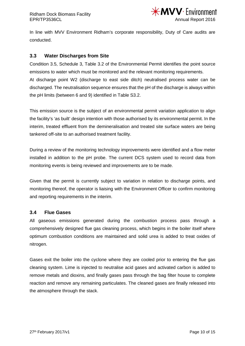

In line with MVV Environment Ridham's corporate responsibility, Duty of Care audits are conducted.

#### <span id="page-9-0"></span>**3.3 Water Discharges from Site**

Condition 3.5, Schedule 3, Table 3.2 of the Environmental Permit identifies the point source emissions to water which must be monitored and the relevant monitoring requirements. At discharge point W2 (discharge to east side ditch) neutralised process water can be discharged. The neutralisation sequence ensures that the pH of the discharge is always within the pH limits (between 6 and 9) identified in Table S3.2.

This emission source is the subject of an environmental permit variation application to align the facility's 'as built' design intention with those authorised by its environmental permit. In the interim, treated effluent from the demineralisation and treated site surface waters are being tankered off-site to an authorised treatment facility.

During a review of the monitoring technology improvements were identified and a flow meter installed in addition to the pH probe. The current DCS system used to record data from monitoring events is being reviewed and improvements are to be made.

Given that the permit is currently subject to variation in relation to discharge points, and monitoring thereof, the operator is liaising with the Environment Officer to confirm monitoring and reporting requirements in the interim.

#### <span id="page-9-1"></span>**3.4 Flue Gases**

All gaseous emissions generated during the combustion process pass through a comprehensively designed flue gas cleaning process, which begins in the boiler itself where optimum combustion conditions are maintained and solid urea is added to treat oxides of nitrogen.

Gases exit the boiler into the cyclone where they are cooled prior to entering the flue gas cleaning system. Lime is injected to neutralise acid gases and activated carbon is added to remove metals and dioxins, and finally gases pass through the bag filter house to complete reaction and remove any remaining particulates. The cleaned gases are finally released into the atmosphere through the stack.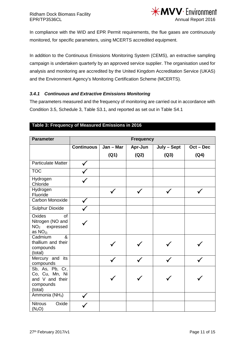

In compliance with the WID and EPR Permit requirements, the flue gases are continuously monitored, for specific parameters, using MCERTS accredited equipment.

In addition to the Continuous Emissions Monitoring System (CEMS), an extractive sampling campaign is undertaken quarterly by an approved service supplier. The organisation used for analysis and monitoring are accredited by the United Kingdom Accreditation Service (UKAS) and the Environment Agency's Monitoring Certification Scheme (MCERTS).

#### <span id="page-10-0"></span>*3.4.1 Continuous and Extractive Emissions Monitoring*

The parameters measured and the frequency of monitoring are carried out in accordance with Condition 3.5, Schedule 3, Table S3.1, and reported as set out in Table S4.1

| <b>Parameter</b>                                                             | <b>Frequency</b>  |           |         |             |             |  |  |  |
|------------------------------------------------------------------------------|-------------------|-----------|---------|-------------|-------------|--|--|--|
|                                                                              | <b>Continuous</b> | Jan - Mar | Apr-Jun | July - Sept | $Oct - Dec$ |  |  |  |
|                                                                              |                   | (Q1)      | (Q2)    | (Q3)        | (Q4)        |  |  |  |
| <b>Particulate Matter</b>                                                    |                   |           |         |             |             |  |  |  |
| <b>TOC</b>                                                                   |                   |           |         |             |             |  |  |  |
| Hydrogen<br>Chloride                                                         |                   |           |         |             |             |  |  |  |
| Hydrogen<br>Fluoride                                                         |                   |           |         |             |             |  |  |  |
| Carbon Monoxide                                                              |                   |           |         |             |             |  |  |  |
| <b>Sulphur Dioxide</b>                                                       |                   |           |         |             |             |  |  |  |
| Oxides<br>of<br>Nitrogen (NO and<br>NO <sub>2</sub> expressed<br>as $NO2$    |                   |           |         |             |             |  |  |  |
| Cadmium<br>&<br>thallium and their<br>compounds<br>(total)                   |                   |           |         |             |             |  |  |  |
| Mercury and<br>its<br>compounds                                              |                   |           |         |             |             |  |  |  |
| Sb, As, Pb, Cr,<br>Co, Cu, Mn, Ni<br>and V and their<br>compounds<br>(total) |                   |           |         |             |             |  |  |  |
| Ammonia (NH <sub>3</sub> )                                                   |                   |           |         |             |             |  |  |  |
| <b>Nitrous</b><br>Oxide<br>$(N_2O)$                                          |                   |           |         |             |             |  |  |  |

#### **Table 3: Frequency of Measured Emissions in 2016**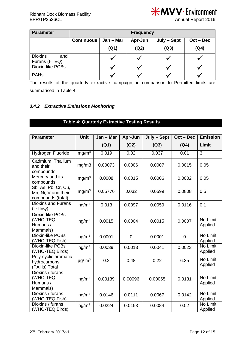

Annual Report 2016

| <b>Parameter</b>                        | <b>Frequency</b>  |           |         |             |             |  |  |
|-----------------------------------------|-------------------|-----------|---------|-------------|-------------|--|--|
|                                         | <b>Continuous</b> | Jan – Mar | Apr-Jun | July - Sept | $Oct - Dec$ |  |  |
|                                         |                   | (Q1)      | (Q2)    | (Q3)        | (Q4)        |  |  |
| <b>Dioxins</b><br>and<br>Furans (I-TEQ) |                   |           |         |             |             |  |  |
| Dioxin-like PCBs                        |                   |           |         |             |             |  |  |
| <b>PAHs</b>                             |                   |           |         |             |             |  |  |

The results of the quarterly extractive campaign, in comparison to Permitted limits are summarised in Table 4.

#### <span id="page-11-0"></span>*3.4.2 Extractive Emissions Monitoring*

#### **Table 4: Quarterly Extractive Testing Results**

| <b>Parameter</b>                                                | <b>Unit</b>             | $Jan - Mar$ | Apr-Jun        | July - Sept | $Oct - Dec$ | <b>Emission</b>     |
|-----------------------------------------------------------------|-------------------------|-------------|----------------|-------------|-------------|---------------------|
|                                                                 |                         | (Q1)        | (Q2)           | (Q3)        | (Q4)        | Limit               |
| Hydrogen Fluoride                                               | mg/m <sup>3</sup>       | 0.019       | 0.02           | 0.037       | 0.01        | 3                   |
| Cadmium, Thallium<br>and their<br>compounds                     | mg/m3                   | 0.00073     | 0.0006         | 0.0007      | 0.0015      | 0.05                |
| Mercury and its<br>compounds                                    | mg/m <sup>3</sup>       | 0.0008      | 0.0015         | 0.0006      | 0.0002      | 0.05                |
| Sb, As, Pb, Cr, Cu,<br>Mn, Ni, V and their<br>compounds (total) | mg/m <sup>3</sup>       | 0.05776     | 0.032          | 0.0599      | 0.0808      | 0.5                 |
| <b>Dioxins and Furans</b><br>$(I - TEQ)$                        | ng/m <sup>3</sup>       | 0.013       | 0.0097         | 0.0059      | 0.0116      | 0.1                 |
| Dioxin-like PCBs<br>(WHO-TEQ<br>Humans /<br>Mammals)            | ng/m <sup>3</sup>       | 0.0015      | 0.0004         | 0.0015      | 0.0007      | No Limit<br>Applied |
| Dioxin-like PCBs<br>(WHO-TEQ Fish)                              | ng/m <sup>3</sup>       | 0.0001      | $\overline{0}$ | 0.0001      | 0           | No Limit<br>Applied |
| Dioxin-like PCBs<br>(WHO-TEQ Birds)                             | ng/m <sup>3</sup>       | 0.0039      | 0.0013         | 0.0041      | 0.0023      | No Limit<br>Applied |
| Poly-cyclic aromatic<br>hydrocarbons<br>(PAHs) Total            | $\mu$ g/ m <sup>3</sup> | 0.2         | 0.48           | 0.22        | 6.35        | No Limit<br>Applied |
| Dioxins / furans<br>(WHO-TEQ<br>Humans /<br>Mammals)            | ng/m <sup>3</sup>       | 0.00139     | 0.00096        | 0.00065     | 0.0131      | No Limit<br>Applied |
| Dioxins / furans<br>(WHO-TEQ Fish)                              | ng/m <sup>3</sup>       | 0.0146      | 0.0111         | 0.0067      | 0.0142      | No Limit<br>Applied |
| Dioxins / furans<br>(WHO-TEQ Birds)                             | ng/m <sup>3</sup>       | 0.0224      | 0.0153         | 0.0084      | 0.02        | No Limit<br>Applied |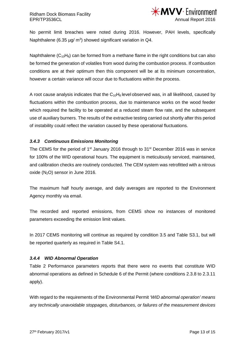

No permit limit breaches were noted during 2016. However, PAH levels, specifically Naphthalene (6.35  $\mu$ g/ m<sup>3</sup>) showed significant variation in Q4.

Naphthalene ( $C_{10}H_8$ ) can be formed from a methane flame in the right conditions but can also be formed the generation of volatiles from wood during the combustion process. If combustion conditions are at their optimum then this component will be at its minimum concentration, however a certain variance will occur due to fluctuations within the process.

A root cause analysis indicates that the  $C_{10}H_8$  level observed was, in all likelihood, caused by fluctuations within the combustion process, due to maintenance works on the wood feeder which required the facility to be operated at a reduced steam flow rate, and the subsequent use of auxiliary burners. The results of the extractive testing carried out shortly after this period of instability could reflect the variation caused by these operational fluctuations.

#### <span id="page-12-0"></span>*3.4.3 Continuous Emissions Monitoring*

The CEMS for the period of 1<sup>st</sup> January 2016 through to 31<sup>st</sup> December 2016 was in service for 100% of the WID operational hours. The equipment is meticulously serviced, maintained, and calibration checks are routinely conducted. The CEM system was retrofitted with a nitrous oxide  $(N_2O)$  sensor in June 2016.

The maximum half hourly average, and daily averages are reported to the Environment Agency monthly via email.

The recorded and reported emissions, from CEMS show no instances of monitored parameters exceeding the emission limit values.

In 2017 CEMS monitoring will continue as required by condition 3.5 and Table S3.1, but will be reported quarterly as required in Table S4.1.

#### <span id="page-12-1"></span>*3.4.4 WID Abnormal Operation*

Table 2 Performance parameters reports that there were no events that constitute WID abnormal operations as defined in Schedule 6 of the Permit (where conditions 2.3.8 to 2.3.11 apply).

With regard to the requirements of the Environmental Permit *'WID abnormal operation' means any technically unavoidable stoppages, disturbances, or failures of the measurement devices*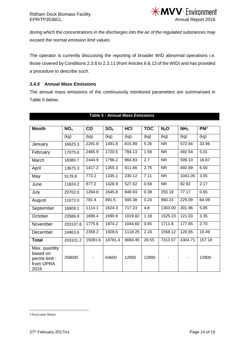

*during which the concentrations in the discharges into the air of the regulated substances may exceed the normal emission limit values.*

The operator is currently discussing the reporting of broader WID abnormal operations i.e. those covered by Conditions 2.3.6 to 2.3.11 (from Articles 6 & 13 of the WID) and has provided a procedure to describe such.

#### <span id="page-13-0"></span>*3.4.5 Annual Mass Emissions*

The annual mass emissions of the continuously monitored parameters are summarised in Table 5 below.

| <b>Month</b>                                                     | NO <sub>x</sub> | co      | SO <sub>2</sub> | HCI     | <b>TOC</b> | $N_2O$    | NH <sub>3</sub> | $PM^3$ |
|------------------------------------------------------------------|-----------------|---------|-----------------|---------|------------|-----------|-----------------|--------|
|                                                                  | (kg)            | (kg)    | (kg)            | (kg)    | (kg)       | (kg)      | (kg)            | (kg)   |
| January                                                          | 16625.3         | 2291.8  | 1491.8          | 815.89  | 5.35       | <b>NR</b> | 572.84          | 33.96  |
| February                                                         | 17075.6         | 2465.9  | 1720.5          | 784.13  | 1.58       | <b>NR</b> | 492.54          | 5.01   |
| March                                                            | 18380.7         | 2444.9  | 1796.2          | 864.83  | 2.7        | <b>NR</b> | 599.10          | 18.87  |
| April                                                            | 13675.3         | 1417.2  | 1355.3          | 611.66  | 2.75       | <b>NR</b> | 492.69          | 6.50   |
| May                                                              | 5178.8          | 773.2   | 1335.1          | 230.12  | 7.11       | <b>NR</b> | 1041.05         | 3.55   |
| June                                                             | 11824.2         | 877.2   | 1426.9          | 527.62  | 0.58       | <b>NR</b> | 82.92           | 2.17   |
| July                                                             | 20702.0         | 1284.8  | 1645.8          | 849.93  | 0.38       | 255.18    | 77.17           | 0.65   |
| August                                                           | 11072.0         | 781.4   | 891.5           | 500.38  | 0.24       | 960.23    | 225.09          | 64.09  |
| September                                                        | 16909.1         | 1114.1  | 1624.3          | 717.23  | 4.8        | 1303.00   | 301.96          | 5.85   |
| October                                                          | 23586.9         | 1696.4  | 1690.9          | 1019.82 | 1.18       | 1525.23   | 121.03          | 3.35   |
| November                                                         | 203107.8        | 1775.6  | 1874.2          | 1044.60 | 0.65       | 1711.8    | 177.65          | 2.70   |
| December                                                         | 24963.6         | 2359.2  | 1928.6          | 1118.25 | 2.24       | 1558.12   | 120.65          | 10.49  |
| <b>Total</b>                                                     | 203101.2        | 19281.6 | 18781.4         | 9084.45 | 29.55      | 7313.57   | 4304.71         | 157.18 |
| Max. quantity<br>based on<br>permit limit -<br>from OPRA<br>2016 | 258000          |         | 64600           | 12900   | 12900      |           |                 | 12900  |

#### **Table 5 : Annual Mass Emissions**

<span id="page-13-1"></span> <sup>3</sup> Particulate Matter